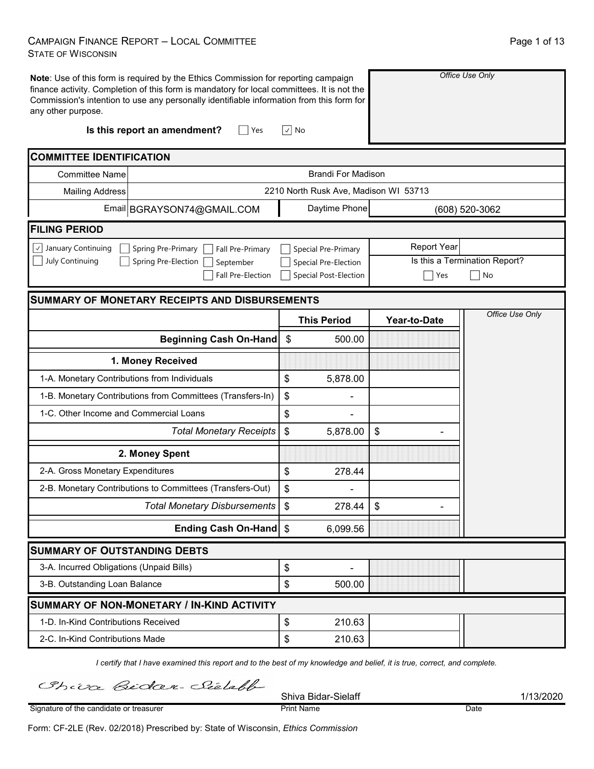### CAMPAIGN FINANCE REPORT – LOCAL COMMITTEE STATE OF WISCONSIN

| Note: Use of this form is required by the Ethics Commission for reporting campaign<br>finance activity. Completion of this form is mandatory for local committees. It is not the<br>Commission's intention to use any personally identifiable information from this form for<br>any other purpose.<br>Is this report an amendment?<br>Yes | ∣√∣ No                                               |                    | Office Use Only                     |
|-------------------------------------------------------------------------------------------------------------------------------------------------------------------------------------------------------------------------------------------------------------------------------------------------------------------------------------------|------------------------------------------------------|--------------------|-------------------------------------|
| <b>COMMITTEE IDENTIFICATION</b>                                                                                                                                                                                                                                                                                                           |                                                      |                    |                                     |
| <b>Committee Name</b>                                                                                                                                                                                                                                                                                                                     | <b>Brandi For Madison</b>                            |                    |                                     |
| <b>Mailing Address</b>                                                                                                                                                                                                                                                                                                                    | 2210 North Rusk Ave, Madison WI 53713                |                    |                                     |
| Email BGRAYSON74@GMAIL.COM                                                                                                                                                                                                                                                                                                                | Daytime Phone                                        |                    | (608) 520-3062                      |
| <b>FILING PERIOD</b>                                                                                                                                                                                                                                                                                                                      |                                                      |                    |                                     |
| $\vee$ January Continuing<br>Spring Pre-Primary<br>Fall Pre-Primary                                                                                                                                                                                                                                                                       | <b>Special Pre-Primary</b>                           | <b>Report Year</b> |                                     |
| July Continuing<br>Spring Pre-Election<br>September<br><b>Fall Pre-Election</b>                                                                                                                                                                                                                                                           | Special Pre-Election<br><b>Special Post-Election</b> | Yes                | Is this a Termination Report?<br>No |
| <b>SUMMARY OF MONETARY RECEIPTS AND DISBURSEMENTS</b>                                                                                                                                                                                                                                                                                     |                                                      |                    |                                     |
|                                                                                                                                                                                                                                                                                                                                           | <b>This Period</b>                                   | Year-to-Date       | Office Use Only                     |
| <b>Beginning Cash On-Hand</b>                                                                                                                                                                                                                                                                                                             | \$<br>500.00                                         |                    |                                     |
| 1. Money Received                                                                                                                                                                                                                                                                                                                         |                                                      |                    |                                     |
| 1-A. Monetary Contributions from Individuals                                                                                                                                                                                                                                                                                              | \$<br>5,878.00                                       |                    |                                     |
| 1-B. Monetary Contributions from Committees (Transfers-In)                                                                                                                                                                                                                                                                                | \$                                                   |                    |                                     |
| 1-C. Other Income and Commercial Loans                                                                                                                                                                                                                                                                                                    | \$                                                   |                    |                                     |
| <b>Total Monetary Receipts</b>                                                                                                                                                                                                                                                                                                            | \$<br>5,878.00                                       | \$                 |                                     |
| 2. Money Spent                                                                                                                                                                                                                                                                                                                            |                                                      |                    |                                     |
| 2-A. Gross Monetary Expenditures                                                                                                                                                                                                                                                                                                          | \$<br>278.44                                         |                    |                                     |
| 2-B. Monetary Contributions to Committees (Transfers-Out)                                                                                                                                                                                                                                                                                 | \$                                                   |                    |                                     |
| <b>Total Monetary Disbursements</b>                                                                                                                                                                                                                                                                                                       | 278.44<br>$\boldsymbol{\mathsf{S}}$                  | \$                 |                                     |
| Ending Cash On-Hand \$                                                                                                                                                                                                                                                                                                                    | 6,099.56                                             |                    |                                     |
| <b>SUMMARY OF OUTSTANDING DEBTS</b>                                                                                                                                                                                                                                                                                                       |                                                      |                    |                                     |
| 3-A. Incurred Obligations (Unpaid Bills)                                                                                                                                                                                                                                                                                                  | \$                                                   |                    |                                     |
| 3-B. Outstanding Loan Balance                                                                                                                                                                                                                                                                                                             | \$<br>500.00                                         |                    |                                     |
| SUMMARY OF NON-MONETARY / IN-KIND ACTIVITY                                                                                                                                                                                                                                                                                                |                                                      |                    |                                     |
| 1-D. In-Kind Contributions Received                                                                                                                                                                                                                                                                                                       | \$<br>210.63                                         |                    |                                     |
| 2-C. In-Kind Contributions Made                                                                                                                                                                                                                                                                                                           | $\, \, \raisebox{12pt}{$\scriptstyle \$}$<br>210.63  |                    |                                     |

*I certify that I have examined this report and to the best of my knowledge and belief, it is true, correct, and complete.*

Chiva Bidar-Sielable

Shiva Bidar-Sielaff 1/13/2020 Print Name Date

Signature of the candidate or treasurer

Form: CF-2LE (Rev. 02/2018) Prescribed by: State of Wisconsin, *Ethics Commission*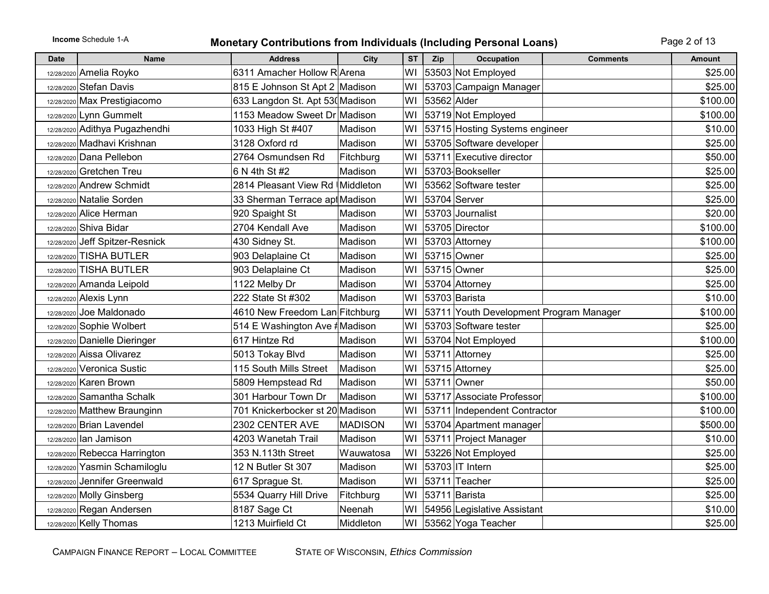## **Income** Schedule 1-A **Monetary Contributions from Individuals (Including Personal Loans)** Page 2 of 13

| <b>Date</b> | <b>Name</b>                     | <b>Address</b>                  | City           | <b>ST</b> | Zip         | <b>Occupation</b>                       | <b>Comments</b> | <b>Amount</b> |
|-------------|---------------------------------|---------------------------------|----------------|-----------|-------------|-----------------------------------------|-----------------|---------------|
|             | 12/28/2020 Amelia Royko         | 6311 Amacher Hollow R Arena     |                | WI        |             | 53503 Not Employed                      |                 | \$25.00       |
|             | 12/28/2020 Stefan Davis         | 815 E Johnson St Apt 2 Madison  |                | WI        |             | 53703 Campaign Manager                  |                 | \$25.00       |
|             | 12/28/2020 Max Prestigiacomo    | 633 Langdon St. Apt 530 Madison |                | WI        | 53562 Alder |                                         |                 | \$100.00      |
|             | 12/28/2020 Lynn Gummelt         | 1153 Meadow Sweet Dr Madison    |                | WI        |             | 53719 Not Employed                      |                 | \$100.00      |
|             | 12/28/2020 Adithya Pugazhendhi  | 1033 High St #407               | Madison        | WI        |             | 53715 Hosting Systems engineer          |                 | \$10.00       |
| 12/28/2020  | Madhavi Krishnan                | 3128 Oxford rd                  | Madison        | W١        |             | 53705 Software developer                |                 | \$25.00       |
|             | 12/28/2020 Dana Pellebon        | 2764 Osmundsen Rd               | Fitchburg      | WI        |             | 53711 Executive director                |                 | \$50.00       |
|             | 12/28/2020 Gretchen Treu        | 6 N 4th St #2                   | Madison        | WI        |             | 53703-Bookseller                        |                 | \$25.00       |
|             | 12/28/2020 Andrew Schmidt       | 2814 Pleasant View Rd Middleton |                | WI        |             | 53562 Software tester                   |                 | \$25.00       |
|             | 12/28/2020 Natalie Sorden       | 33 Sherman Terrace apt Madison  |                | WI        |             | 53704 Server                            |                 | \$25.00       |
|             | 12/28/2020 Alice Herman         | 920 Spaight St                  | Madison        | W١        |             | 53703 Journalist                        |                 | \$20.00       |
|             | 12/28/2020 Shiva Bidar          | 2704 Kendall Ave                | Madison        | WI        |             | 53705 Director                          |                 | \$100.00      |
|             | 12/28/2020 Jeff Spitzer-Resnick | 430 Sidney St.                  | Madison        | WI        |             | 53703 Attorney                          |                 | \$100.00      |
|             | 12/28/2020 TISHA BUTLER         | 903 Delaplaine Ct               | Madison        | WI        |             | 53715 Owner                             |                 | \$25.00       |
| 12/28/2020  | <b>TISHA BUTLER</b>             | 903 Delaplaine Ct               | Madison        | WI        |             | 53715 Owner                             |                 | \$25.00       |
|             | 12/28/2020 Amanda Leipold       | 1122 Melby Dr                   | Madison        | WI        |             | 53704 Attorney                          |                 | \$25.00       |
|             | 12/28/2020 Alexis Lynn          | 222 State St #302               | Madison        | WI        |             | 53703 Barista                           |                 | \$10.00       |
|             | 12/28/2020 Joe Maldonado        | 4610 New Freedom Lan Fitchburg  |                | WI        |             | 53711 Youth Development Program Manager |                 | \$100.00      |
|             | 12/28/2020 Sophie Wolbert       | 514 E Washington Ave #Madison   |                | WI        |             | 53703 Software tester                   |                 | \$25.00       |
|             | 12/28/2020 Danielle Dieringer   | 617 Hintze Rd                   | Madison        | WI        |             | 53704 Not Employed                      |                 | \$100.00      |
|             | 12/28/2020 Aissa Olivarez       | 5013 Tokay Blvd                 | Madison        | WI        |             | 53711 Attorney                          |                 | \$25.00       |
| 12/28/2020  | Veronica Sustic                 | 115 South Mills Street          | Madison        | WI        |             | 53715 Attorney                          |                 | \$25.00       |
|             | 12/28/2020 Karen Brown          | 5809 Hempstead Rd               | Madison        | WI        |             | 53711 Owner                             |                 | \$50.00       |
| 12/28/2020  | Samantha Schalk                 | 301 Harbour Town Dr             | Madison        | WI        |             | 53717 Associate Professor               |                 | \$100.00      |
|             | 12/28/2020 Matthew Braunginn    | 701 Knickerbocker st 20 Madison |                | WI        |             | 53711 Independent Contractor            |                 | \$100.00]     |
|             | 12/28/2020 Brian Lavendel       | 2302 CENTER AVE                 | <b>MADISON</b> | WI        |             | 53704 Apartment manager                 |                 | \$500.00      |
|             | 12/28/2020 Ian Jamison          | 4203 Wanetah Trail              | Madison        | WI        |             | 53711 Project Manager                   |                 | \$10.00       |
|             | 12/28/2020 Rebecca Harrington   | 353 N.113th Street              | Wauwatosa      | WI        |             | 53226 Not Employed                      |                 | \$25.00       |
| 12/28/2020  | Yasmin Schamiloglu              | 12 N Butler St 307              | Madison        | WI        |             | 53703 IT Intern                         |                 | \$25.00       |
|             | 12/28/2020 Jennifer Greenwald   | 617 Sprague St.                 | Madison        | WI        |             | 53711 Teacher                           |                 | \$25.00       |
|             | 12/28/2020 Molly Ginsberg       | 5534 Quarry Hill Drive          | Fitchburg      | WI        |             | 53711 Barista                           |                 | \$25.00       |
|             | 12/28/2020 Regan Andersen       | 8187 Sage Ct                    | Neenah         | WI        |             | 54956 Legislative Assistant             |                 | \$10.00       |
|             | 12/28/2020 Kelly Thomas         | 1213 Muirfield Ct               | Middleton      | WI        |             | 53562 Yoga Teacher                      |                 | \$25.00       |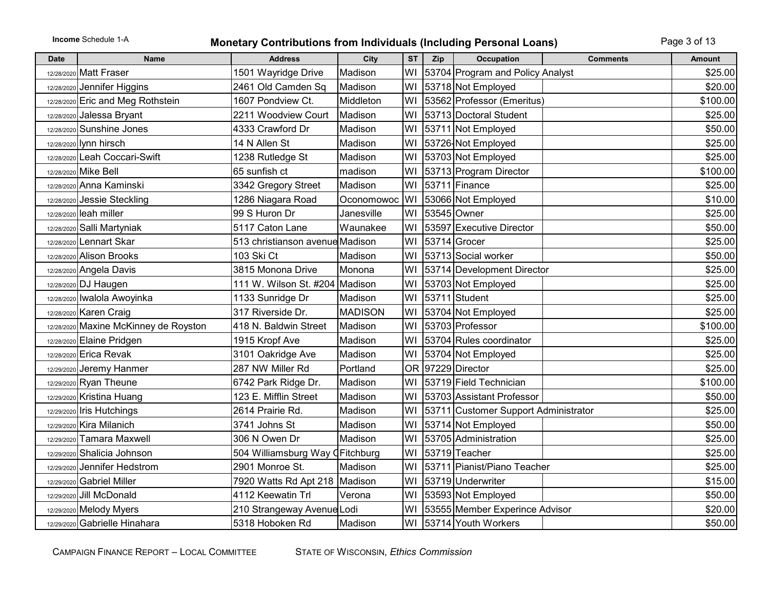## **Income** Schedule 1-A **Monetary Contributions from Individuals (Including Personal Loans)** Page 3 of 13

| <b>Date</b> | <b>Name</b>                           | <b>Address</b>                  | City       | <b>ST</b> | Zip | <b>Occupation</b>                    | <b>Comments</b> | <b>Amount</b> |
|-------------|---------------------------------------|---------------------------------|------------|-----------|-----|--------------------------------------|-----------------|---------------|
|             | 12/28/2020 Matt Fraser                | 1501 Wayridge Drive             | Madison    | WI        |     | 53704 Program and Policy Analyst     |                 | \$25.00       |
|             | 12/28/2020 Jennifer Higgins           | 2461 Old Camden Sq              | Madison    | WI        |     | 53718 Not Employed                   |                 | \$20.00       |
|             | 12/28/2020 Eric and Meg Rothstein     | 1607 Pondview Ct.               | Middleton  | WI        |     | 53562 Professor (Emeritus)           |                 | \$100.00      |
| 12/28/2020  | Jalessa Bryant                        | 2211 Woodview Court             | Madison    | WI        |     | 53713 Doctoral Student               |                 | \$25.00       |
| 12/28/2020  | Sunshine Jones                        | 4333 Crawford Dr                | Madison    | WI        |     | 53711 Not Employed                   |                 | \$50.00       |
|             | 12/28/2020 lynn hirsch                | 14 N Allen St                   | Madison    | WI        |     | 53726 Not Employed                   |                 | \$25.00       |
|             | 12/28/2020 Leah Coccari-Swift         | 1238 Rutledge St                | Madison    | WI        |     | 53703 Not Employed                   |                 | \$25.00       |
|             | 12/28/2020 Mike Bell                  | 65 sunfish ct                   | madison    | WI        |     | 53713 Program Director               |                 | \$100.00      |
|             | 12/28/2020 Anna Kaminski              | 3342 Gregory Street             | Madison    | WI        |     | $ 53711 $ Finance                    |                 | \$25.00       |
| 12/28/2020  | Jessie Steckling                      | 1286 Niagara Road               | Oconomowoc | WI        |     | 53066 Not Employed                   |                 | \$10.00       |
|             | 12/28/2020 leah miller                | 99 S Huron Dr                   | Janesville | WI        |     | 53545 Owner                          |                 | \$25.00       |
|             | 12/28/2020 Salli Martyniak            | 5117 Caton Lane                 | Waunakee   | WI        |     | 53597 Executive Director             |                 | \$50.00       |
|             | 12/28/2020 Lennart Skar               | 513 christianson avenue Madison |            | WI        |     | 53714 Grocer                         |                 | \$25.00       |
|             | 12/28/2020 Alison Brooks              | 103 Ski Ct                      | Madison    | WI        |     | 53713 Social worker                  |                 | \$50.00       |
|             | 12/28/2020 Angela Davis               | 3815 Monona Drive               | Monona     | WI        |     | 53714 Development Director           |                 | \$25.00       |
|             | 12/28/2020 DJ Haugen                  | 111 W. Wilson St. #204          | Madison    | WI        |     | 53703 Not Employed                   |                 | \$25.00       |
|             | 12/28/2020 Iwalola Awoyinka           | 1133 Sunridge Dr                | Madison    | WI        |     | 53711 Student                        |                 | \$25.00       |
|             | 12/28/2020 Karen Craig                | 317 Riverside Dr.               | MADISON    | WI        |     | 53704 Not Employed                   |                 | \$25.00       |
|             | 12/28/2020 Maxine McKinney de Royston | 418 N. Baldwin Street           | Madison    | WI        |     | 53703 Professor                      |                 | \$100.00      |
|             | 12/28/2020 Elaine Pridgen             | 1915 Kropf Ave                  | Madison    | WI        |     | 53704 Rules coordinator              |                 | \$25.00       |
|             | 12/28/2020 Erica Revak                | 3101 Oakridge Ave               | Madison    | WI        |     | 53704 Not Employed                   |                 | \$25.00       |
|             | 12/29/2020 Jeremy Hanmer              | 287 NW Miller Rd                | Portland   |           |     | OR 97229 Director                    |                 | \$25.00       |
|             | 12/29/2020 Ryan Theune                | 6742 Park Ridge Dr.             | Madison    | W١        |     | 53719 Field Technician               |                 | \$100.00      |
|             | 12/29/2020 Kristina Huang             | 123 E. Mifflin Street           | Madison    | WI        |     | 53703 Assistant Professor            |                 | \$50.00       |
|             | 12/29/2020 Iris Hutchings             | 2614 Prairie Rd.                | Madison    | WI        |     | 53711 Customer Support Administrator |                 | \$25.00       |
|             | 12/29/2020 Kira Milanich              | 3741 Johns St                   | Madison    | WI        |     | 53714 Not Employed                   |                 | \$50.00       |
|             | 12/29/2020 Tamara Maxwell             | 306 N Owen Dr                   | Madison    | WI        |     | 53705 Administration                 |                 | \$25.00       |
|             | 12/29/2020 Shalicia Johnson           | 504 Williamsburg Way CFitchburg |            |           |     | WI 53719 Teacher                     |                 | \$25.00       |
| 12/29/2020  | Jennifer Hedstrom                     | 2901 Monroe St.                 | Madison    | WI        |     | 53711 Pianist/Piano Teacher          |                 | \$25.00       |
|             | 12/29/2020 Gabriel Miller             | 7920 Watts Rd Apt 218   Madison |            | WI        |     | 53719 Underwriter                    |                 | \$15.00       |
| 12/29/2020  | Jill McDonald                         | 4112 Keewatin Trl               | Verona     | WI        |     | 53593 Not Employed                   |                 | \$50.00       |
|             | 12/29/2020 Melody Myers               | 210 Strangeway Avenue Lodi      |            | WI        |     | 53555 Member Experince Advisor       |                 | \$20.00       |
|             | 12/29/2020 Gabrielle Hinahara         | 5318 Hoboken Rd                 | Madison    | WI        |     | 53714 Youth Workers                  |                 | \$50.00       |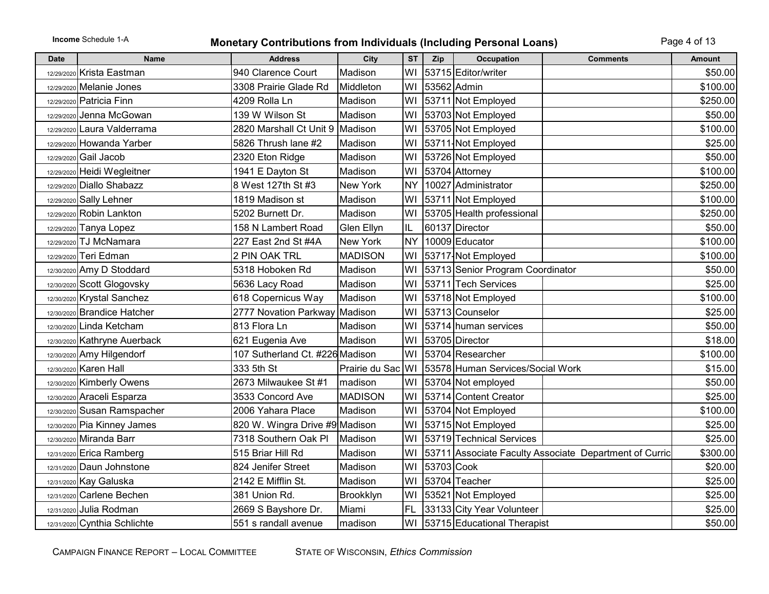## **Income** Schedule 1-A **Monetary Contributions from Individuals (Including Personal Loans)** Page 4 of 13

| <b>Date</b> | <b>Name</b>                  | <b>Address</b>                  | City              | <b>ST</b> | Zip         | <b>Occupation</b><br><b>Comments</b>                   | <b>Amount</b> |
|-------------|------------------------------|---------------------------------|-------------------|-----------|-------------|--------------------------------------------------------|---------------|
|             | 12/29/2020 Krista Eastman    | 940 Clarence Court              | Madison           | WI        |             | 53715 Editor/writer                                    | \$50.00       |
|             | 12/29/2020 Melanie Jones     | 3308 Prairie Glade Rd           | Middleton         | WI        | 53562 Admin |                                                        | \$100.00      |
|             | 12/29/2020 Patricia Finn     | 4209 Rolla Ln                   | Madison           | WI        |             | 53711 Not Employed                                     | \$250.00      |
| 12/29/2020  | Jenna McGowan                | 139 W Wilson St                 | Madison           | WI        |             | 53703 Not Employed                                     | \$50.00       |
|             | 12/29/2020 Laura Valderrama  | 2820 Marshall Ct Unit 9         | Madison           | WI        |             | 53705 Not Employed                                     | \$100.00      |
|             | 12/29/2020 Howanda Yarber    | 5826 Thrush lane #2             | Madison           | WI        |             | 53711-Not Employed                                     | \$25.00       |
|             | 12/29/2020 Gail Jacob        | 2320 Eton Ridge                 | Madison           | WI        |             | 53726 Not Employed                                     | \$50.00       |
|             | 12/29/2020 Heidi Wegleitner  | 1941 E Dayton St                | Madison           | WI        |             | 53704 Attorney                                         | \$100.00      |
|             | 12/29/2020 Diallo Shabazz    | 8 West 127th St #3              | <b>New York</b>   | <b>NY</b> |             | 10027 Administrator                                    | \$250.00      |
|             | 12/29/2020 Sally Lehner      | 1819 Madison st                 | Madison           | WI        |             | 53711 Not Employed                                     | \$100.00      |
|             | 12/29/2020 Robin Lankton     | 5202 Burnett Dr.                | Madison           | WI        |             | 53705 Health professional                              | \$250.00      |
|             | 12/29/2020 Tanya Lopez       | 158 N Lambert Road              | Glen Ellyn        | IL        |             | 60137 Director                                         | \$50.00       |
|             | 12/29/2020 TJ McNamara       | 227 East 2nd St #4A             | New York          | <b>NY</b> |             | 10009 Educator                                         | \$100.00      |
|             | 12/29/2020 Teri Edman        | 2 PIN OAK TRL                   | <b>MADISON</b>    | WI        |             | 53717-Not Employed                                     | \$100.00      |
|             | 12/30/2020 Amy D Stoddard    | 5318 Hoboken Rd                 | Madison           | WI        |             | 53713 Senior Program Coordinator                       | \$50.00       |
|             | 12/30/2020 Scott Glogovsky   | 5636 Lacy Road                  | Madison           | WI        |             | 53711 Tech Services                                    | \$25.00       |
|             | 12/30/2020 Krystal Sanchez   | 618 Copernicus Way              | Madison           | WI        |             | 53718 Not Employed                                     | \$100.00      |
|             | 12/30/2020 Brandice Hatcher  | 2777 Novation Parkway Madison   |                   | W١        |             | 53713 Counselor                                        | \$25.00       |
|             | 12/30/2020 Linda Ketcham     | 813 Flora Ln                    | Madison           | WI        |             | 53714 human services                                   | \$50.00       |
|             | 12/30/2020 Kathryne Auerback | 621 Eugenia Ave                 | Madison           | WI        |             | 53705 Director                                         | \$18.00       |
|             | 12/30/2020 Amy Hilgendorf    | 107 Sutherland Ct. #226 Madison |                   | WI        |             | 53704 Researcher                                       | \$100.00      |
|             | 12/30/2020 Karen Hall        | 333 5th St                      | Prairie du Sac WI |           |             | 53578 Human Services/Social Work                       | \$15.00       |
|             | 12/30/2020 Kimberly Owens    | 2673 Milwaukee St #1            | madison           | WI        |             | 53704 Not employed                                     | \$50.00       |
|             | 12/30/2020 Araceli Esparza   | 3533 Concord Ave                | <b>MADISON</b>    | WI        |             | 53714 Content Creator                                  | \$25.00       |
|             | 12/30/2020 Susan Ramspacher  | 2006 Yahara Place               | Madison           | WI        |             | 53704 Not Employed                                     | \$100.00      |
|             | 12/30/2020 Pia Kinney James  | 820 W. Wingra Drive #9 Madison  |                   | WI        |             | 53715 Not Employed                                     | \$25.00       |
|             | 12/30/2020 Miranda Barr      | 7318 Southern Oak Pl            | Madison           | WI        |             | 53719 Technical Services                               | \$25.00       |
|             | 12/31/2020 Erica Ramberg     | 515 Briar Hill Rd               | Madison           | WI        |             | 53711 Associate Faculty Associate Department of Curric | \$300.00      |
|             | 12/31/2020 Daun Johnstone    | 824 Jenifer Street              | Madison           | WI        | 53703 Cook  |                                                        | \$20.00       |
|             | 12/31/2020 Kay Galuska       | 2142 E Mifflin St.              | Madison           | W١        |             | 53704 Teacher                                          | \$25.00       |
|             | $12/31/2020$ Carlene Bechen  | 381 Union Rd                    | Brookklyn         | WI        |             | 53521 Not Employed                                     | \$25.00       |
|             | 12/31/2020 Julia Rodman      | 2669 S Bayshore Dr.             | Miami             | FL        |             | 33133 City Year Volunteer                              | \$25.00       |
|             | 12/31/2020 Cynthia Schlichte | 551 s randall avenue            | madison           | WI        |             | 53715 Educational Therapist                            | \$50.00       |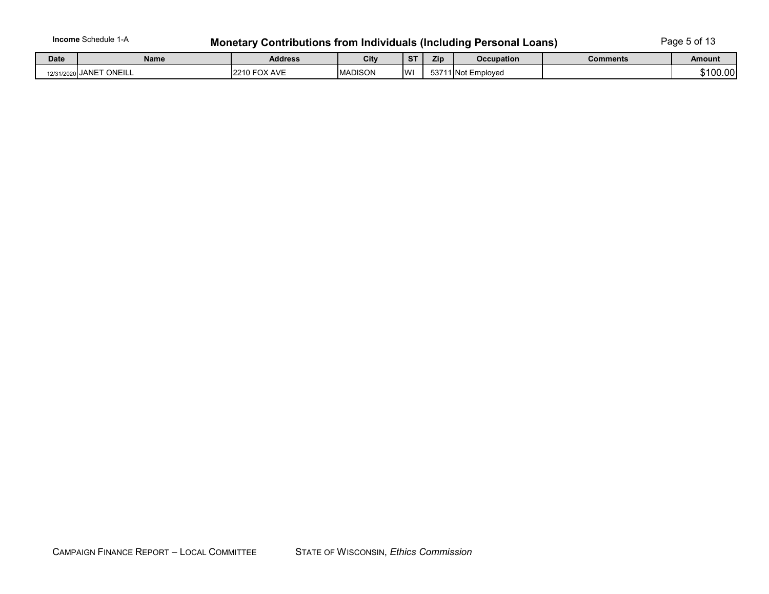# Income Schedule 1-A **Monetary Contributions from Individuals (Including Personal Loans)** Page 5 of 13

| <b>Date</b> | <b>Name</b>         | <b>Address</b>                   | City           | $\sim$<br>- 1 | <b>Zip</b> | <b>Occupation</b>  | Comments | Amount   |
|-------------|---------------------|----------------------------------|----------------|---------------|------------|--------------------|----------|----------|
| 12/31/2020  | $I$ ANICT<br>ONEILL | <b>FOX AVE</b><br>0.010<br>2210. | <b>MADISON</b> | <b>WI</b>     |            | 53711 Not Employed |          | \$100.00 |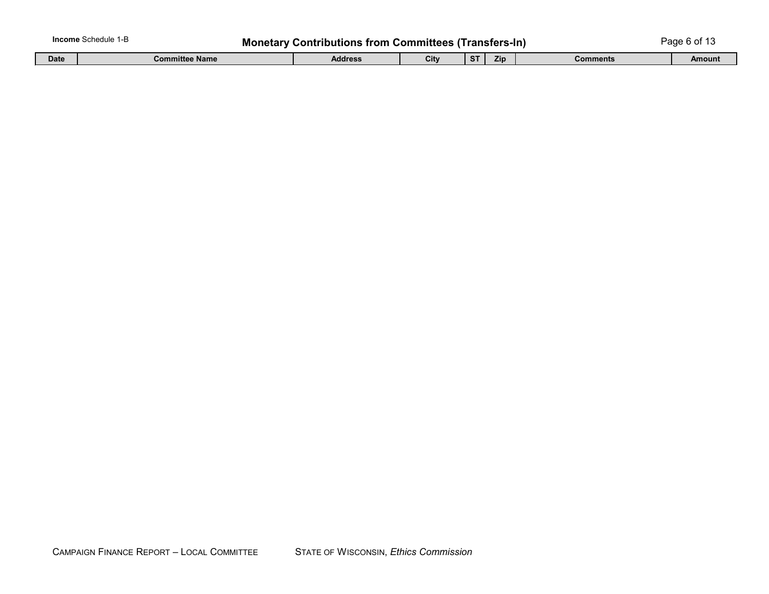| <b>Income</b> Schedule 1-P |  | <b>Monetary Contributions from Committees (Transfers-In)</b> |      |      |  |  | Page 6 of 13 |  |
|----------------------------|--|--------------------------------------------------------------|------|------|--|--|--------------|--|
|                            |  | - - -                                                        | $ -$ | ____ |  |  |              |  |

| Date | $\mathbf{z}$<br>Committee Name i | Address | City | $\sim$ | --<br>Zip | Comments | Amount |
|------|----------------------------------|---------|------|--------|-----------|----------|--------|
|      |                                  |         |      |        |           |          |        |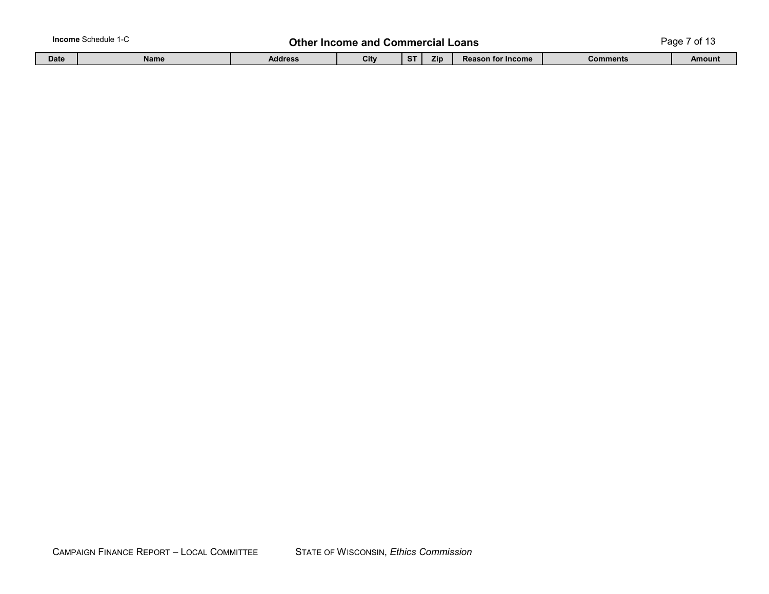| <b>Income</b> Schedule 1-C |             |             | Other   | ' Income and ∖ |         | ∣ Commercial Loans |                          |          | Page<br>~~<br>. .<br>וש |  |  |
|----------------------------|-------------|-------------|---------|----------------|---------|--------------------|--------------------------|----------|-------------------------|--|--|
|                            | <b>Date</b> | <b>Name</b> | Address | City           | C<br>C. | <b>Zip</b>         | <b>Reason for Income</b> | Comments | <b>Amount</b>           |  |  |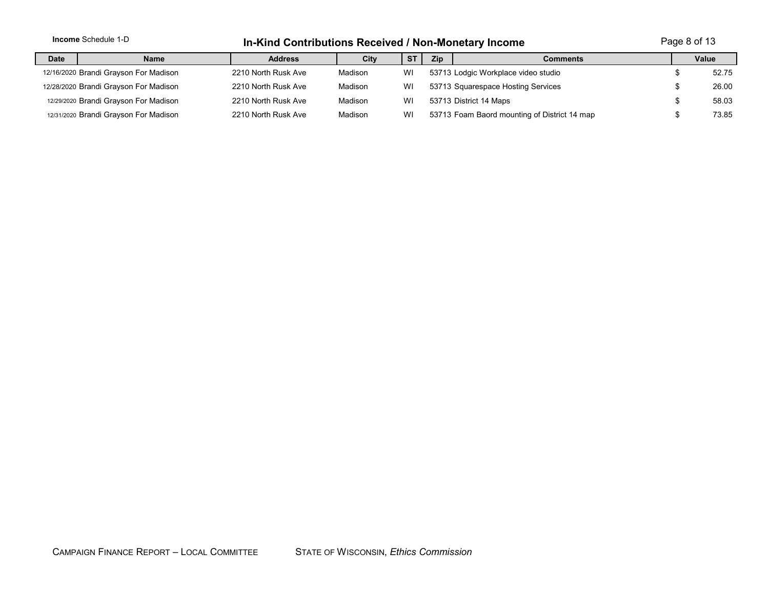|                                       | <b>Income Schedule 1-D</b>                                                   |                     | Page 8 of 13<br>In-Kind Contributions Received / Non-Monetary Income |    |                                              |                                     |  |       |  |
|---------------------------------------|------------------------------------------------------------------------------|---------------------|----------------------------------------------------------------------|----|----------------------------------------------|-------------------------------------|--|-------|--|
| <b>Date</b>                           | <b>Zip</b><br><b>ST</b><br>City<br><b>Address</b><br><b>Comments</b><br>Name |                     |                                                                      |    | Value                                        |                                     |  |       |  |
|                                       | 12/16/2020 Brandi Grayson For Madison                                        | 2210 North Rusk Ave | Madison                                                              | WI |                                              | 53713 Lodgic Workplace video studio |  | 52.75 |  |
|                                       | 12/28/2020 Brandi Grayson For Madison                                        | 2210 North Rusk Ave | Madison                                                              | WI |                                              | 53713 Squarespace Hosting Services  |  | 26.00 |  |
|                                       | 12/29/2020 Brandi Grayson For Madison                                        | 2210 North Rusk Ave | Madison                                                              | WI |                                              | 53713 District 14 Maps              |  | 58.03 |  |
| 12/31/2020 Brandi Grayson For Madison |                                                                              | 2210 North Rusk Ave | Madison                                                              | WI | 53713 Foam Baord mounting of District 14 map |                                     |  | 73.85 |  |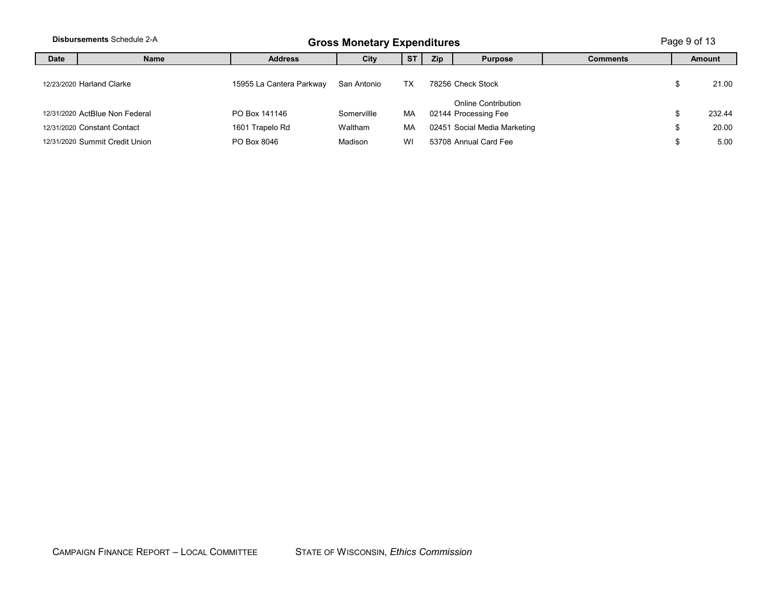|      | <b>Disbursements Schedule 2-A</b> |                          | <b>Gross Monetary Expenditures</b> |           |            |                                             |                 |    |               |
|------|-----------------------------------|--------------------------|------------------------------------|-----------|------------|---------------------------------------------|-----------------|----|---------------|
| Date | <b>Name</b>                       | <b>Address</b>           | City                               | <b>ST</b> | <b>Zip</b> | <b>Purpose</b>                              | <b>Comments</b> |    | <b>Amount</b> |
|      | 12/23/2020 Harland Clarke         | 15955 La Cantera Parkway | San Antonio                        | TX        |            | 78256 Check Stock                           |                 | J. | 21.00         |
|      | 12/31/2020 ActBlue Non Federal    | PO Box 141146            | Somervillle                        | МA        |            | Online Contribution<br>02144 Processing Fee |                 |    | 232.44        |
|      | 12/31/2020 Constant Contact       | 1601 Trapelo Rd          | Waltham                            | МA        |            | 02451 Social Media Marketing                |                 | J. | 20.00         |
|      | 12/31/2020 Summit Credit Union    | PO Box 8046              | Madison                            | WI        |            | 53708 Annual Card Fee                       |                 |    | 5.00          |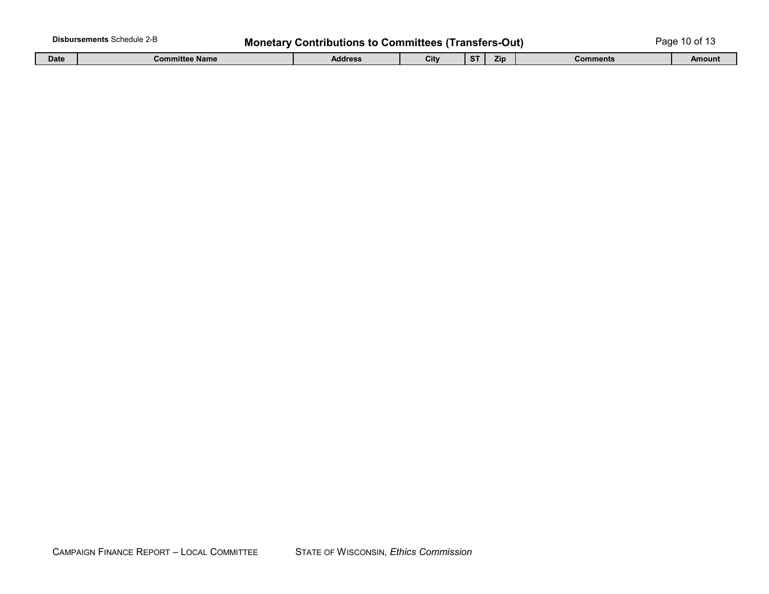|             | <b>Disbursements Schedule 2-B</b> | <b>Monetary Contributions to Committees (Transfers-Out)</b> |      |              |     |                 | Page 10 of 13 |  |  |
|-------------|-----------------------------------|-------------------------------------------------------------|------|--------------|-----|-----------------|---------------|--|--|
| <b>Date</b> | <b>Committee Name</b>             | <b>Address</b>                                              | City | $C$ T<br>o i | Zip | <b>Comments</b> | Amount        |  |  |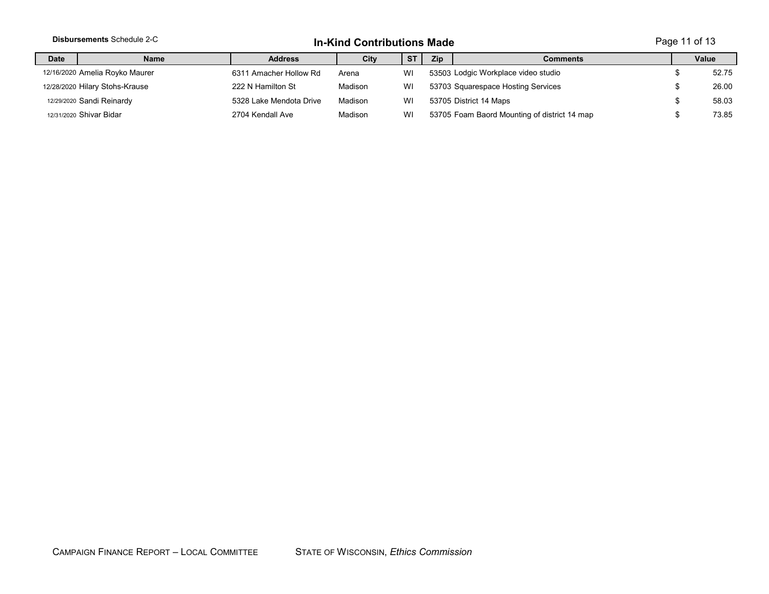|             | <b>Disbursements Schedule 2-C</b> | Page 11 of 13<br><b>In-Kind Contributions Made</b> |         |           |            |                                              |      |       |
|-------------|-----------------------------------|----------------------------------------------------|---------|-----------|------------|----------------------------------------------|------|-------|
| <b>Date</b> | <b>Name</b>                       | <b>Address</b>                                     | City    | <b>ST</b> | <b>Zip</b> | <b>Comments</b>                              |      | Value |
|             | 12/16/2020 Amelia Royko Maurer    | 6311 Amacher Hollow Rd                             | Arena   | WI        |            | 53503 Lodgic Workplace video studio          |      | 52.75 |
|             | 12/28/2020 Hilary Stohs-Krause    | 222 N Hamilton St                                  | Madison | WI        |            | 53703 Squarespace Hosting Services           |      | 26.00 |
|             | 12/29/2020 Sandi Reinardy         | 5328 Lake Mendota Drive                            | Madison | WI        |            | 53705 District 14 Maps                       |      | 58.03 |
|             | 12/31/2020 Shivar Bidar           | 2704 Kendall Ave                                   | Madison | WI        |            | 53705 Foam Baord Mounting of district 14 map | - 13 | 73.85 |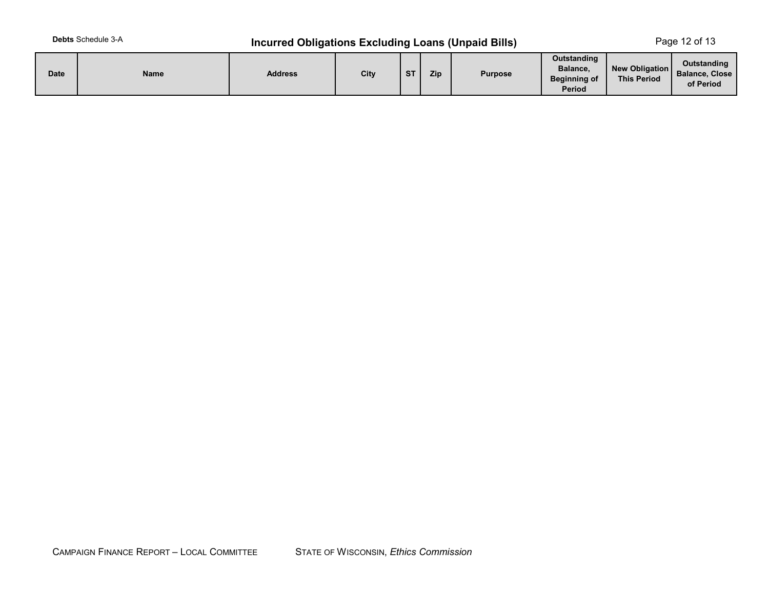# **Debts** Schedule 3-A **Incurred Obligations Excluding Loans (Unpaid Bills)** Page 12 of 13

| <b>Date</b> | Name | <b>Address</b> | City | <b>ST</b> | Zip | <b>Purpose</b> | Outstanding<br>Balance,<br><b>Beginning of</b><br><b>Period</b> | <b>New Obligation</b><br><b>This Period</b> | Outstanding<br>Balance, Close<br>of Period |
|-------------|------|----------------|------|-----------|-----|----------------|-----------------------------------------------------------------|---------------------------------------------|--------------------------------------------|
|-------------|------|----------------|------|-----------|-----|----------------|-----------------------------------------------------------------|---------------------------------------------|--------------------------------------------|